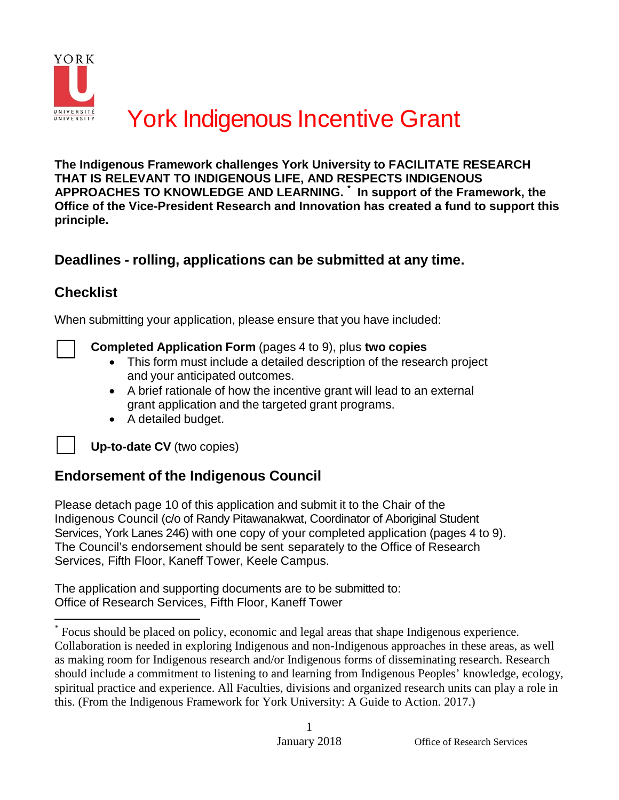

**The Indigenous Framework challenges York University to FACILITATE RESEARCH THAT IS RELEVANT TO INDIGENOUS LIFE, AND RESPECTS INDIGENOUS APPROACHES TO KNOWLEDGE AND LEARNING. [\\*](#page-0-0) In support of the Framework, the Office of the Vice-President Research and Innovation has created a fund to support this principle.**

### **Deadlines - rolling, applications can be submitted at any time.**

### **Checklist**

When submitting your application, please ensure that you have included:



**Completed Application Form** (pages 4 to 9), plus **two copies**

- This form must include a detailed description of the research project and your anticipated outcomes.
- A brief rationale of how the incentive grant will lead to an external grant application and the targeted grant programs.
- A detailed budget.

**Up-to-date CV** (two copies)

### **Endorsement of the Indigenous Council**

Please detach page 10 of this application and submit it to the Chair of the Indigenous Council (c/o of Randy Pitawanakwat, Coordinator of Aboriginal Student Services, York Lanes 246) with one copy of your completed application (pages 4 to 9). The Council's endorsement should be sent separately to the Office of Research Services, Fifth Floor, Kaneff Tower, Keele Campus.

The application and supporting documents are to be submitted to: Office of Research Services, Fifth Floor, Kaneff Tower

<span id="page-0-0"></span><sup>\*</sup> Focus should be placed on policy, economic and legal areas that shape Indigenous experience. Collaboration is needed in exploring Indigenous and non-Indigenous approaches in these areas, as well as making room for Indigenous research and/or Indigenous forms of disseminating research. Research should include a commitment to listening to and learning from Indigenous Peoples' knowledge, ecology, spiritual practice and experience. All Faculties, divisions and organized research units can play a role in this. (From the Indigenous Framework for York University: A Guide to Action. 2017.)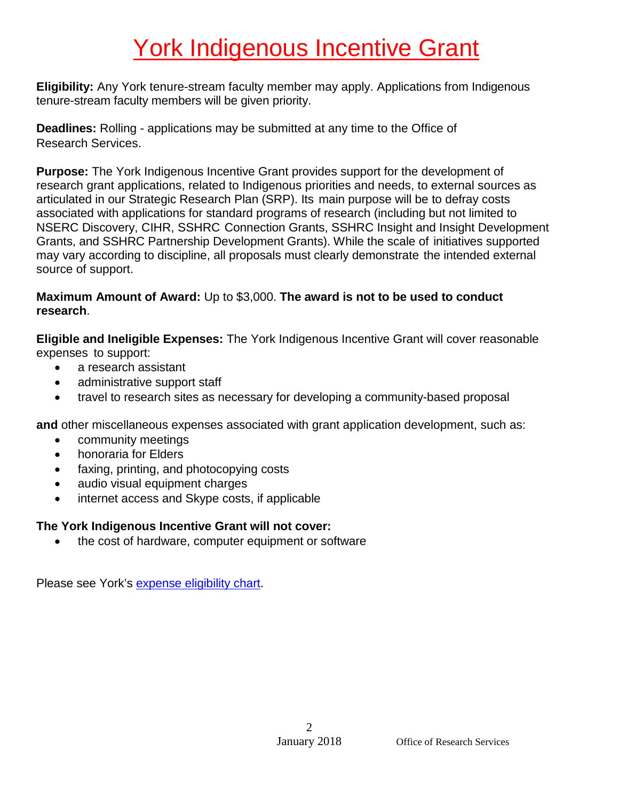**Eligibility:** Any York tenure-stream faculty member may apply. Applications from Indigenous tenure-stream faculty members will be given priority.

**Deadlines:** Rolling - applications may be submitted at any time to the Office of Research Services.

**Purpose:** The York Indigenous Incentive Grant provides support for the development of research grant applications, related to Indigenous priorities and needs, to external sources as articulated in our Strategic Research Plan (SRP). Its main purpose will be to defray costs associated with applications for standard programs of research (including but not limited to NSERC Discovery, CIHR, SSHRC Connection Grants, SSHRC Insight and Insight Development Grants, and SSHRC Partnership Development Grants). While the scale of initiatives supported may vary according to discipline, all proposals must clearly demonstrate the intended external source of support.

### **Maximum Amount of Award:** Up to \$3,000. **The award is not to be used to conduct research**.

**Eligible and Ineligible Expenses:** The York Indigenous Incentive Grant will cover reasonable expenses to support:

- a research assistant
- administrative support staff
- travel to research sites as necessary for developing a community-based proposal

**and** other miscellaneous expenses associated with grant application development, such as:

- community meetings
- honoraria for Elders
- faxing, printing, and photocopying costs
- audio visual equipment charges
- internet access and Skype costs, if applicable

### **The York Indigenous Incentive Grant will not cover:**

the cost of hardware, computer equipment or software

Please see York's [expense](http://www.yorku.ca/finance/documents/ExpenseEligibilityChart.pdf) eligibility chart.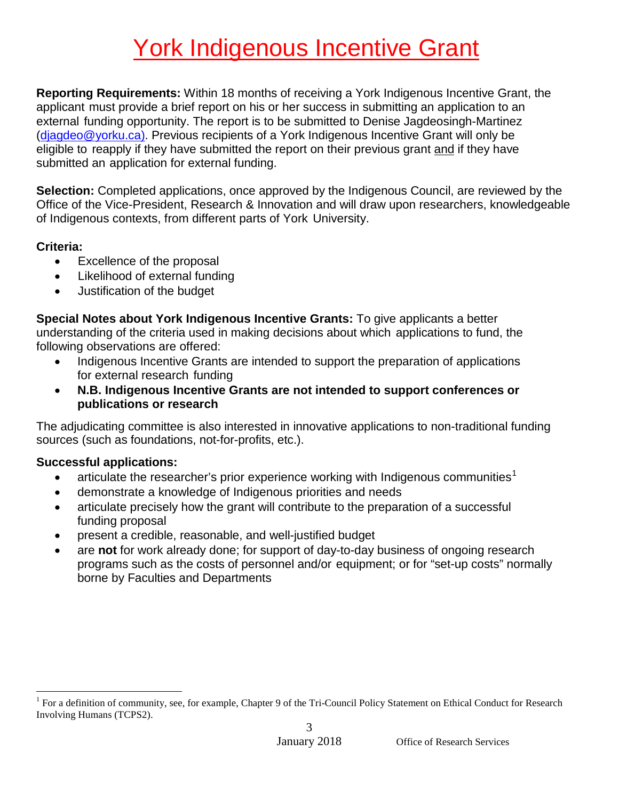**Reporting Requirements:** Within 18 months of receiving a York Indigenous Incentive Grant, the applicant must provide a brief report on his or her success in submitting an application to an external funding opportunity. The report is to be submitted to Denise Jagdeosingh-Martinez (djagdeo@yorku.ca). Previous recipients of a York Indigenous Incentive Grant will only be eligible to reapply if they have submitted the report on their previous grant and if they have submitted an application for external funding.

**Selection:** Completed applications, once approved by the Indigenous Council, are reviewed by the Office of the Vice-President, Research & Innovation and will draw upon researchers, knowledgeable of Indigenous contexts, from different parts of York University.

### **Criteria:**

- Excellence of the proposal
- Likelihood of external funding
- Justification of the budget

**Special Notes about York Indigenous Incentive Grants:** To give applicants a better understanding of the criteria used in making decisions about which applications to fund, the following observations are offered:

- Indigenous Incentive Grants are intended to support the preparation of applications for external research funding
- **N.B. Indigenous Incentive Grants are not intended to support conferences or publications or research**

The adjudicating committee is also interested in innovative applications to non-traditional funding sources (such as foundations, not-for-profits, etc.).

### **Successful applications:**

- articulate the researcher's prior experience working with Indigenous communities<sup>[1](#page-2-0)</sup>
- demonstrate a knowledge of Indigenous priorities and needs
- articulate precisely how the grant will contribute to the preparation of a successful funding proposal
- present a credible, reasonable, and well-justified budget
- are **not** for work already done; for support of day-to-day business of ongoing research programs such as the costs of personnel and/or equipment; or for "set-up costs" normally borne by Faculties and Departments

<span id="page-2-0"></span><sup>3</sup> 1 For a definition of community, see, for example, Chapter 9 of the Tri-Council Policy Statement on Ethical Conduct for Research Involving Humans (TCPS2).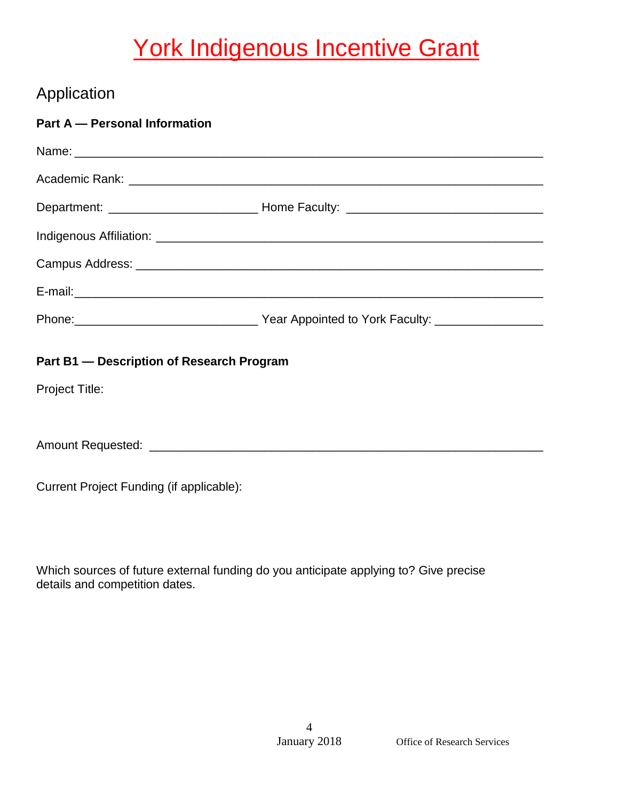## Application

| Part A - Personal Information             |  |  |  |  |  |  |
|-------------------------------------------|--|--|--|--|--|--|
|                                           |  |  |  |  |  |  |
|                                           |  |  |  |  |  |  |
|                                           |  |  |  |  |  |  |
|                                           |  |  |  |  |  |  |
|                                           |  |  |  |  |  |  |
|                                           |  |  |  |  |  |  |
|                                           |  |  |  |  |  |  |
| Part B1 - Description of Research Program |  |  |  |  |  |  |
| <b>Project Title:</b>                     |  |  |  |  |  |  |
|                                           |  |  |  |  |  |  |
|                                           |  |  |  |  |  |  |
|                                           |  |  |  |  |  |  |

Current Project Funding (if applicable):

Which sources of future external funding do you anticipate applying to? Give precise details and competition dates.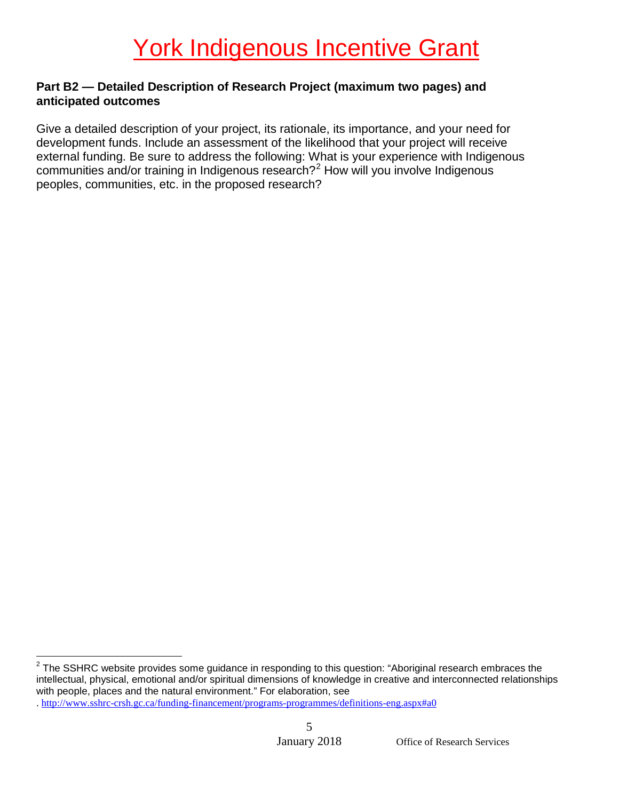### **Part B2 — Detailed Description of Research Project (maximum two pages) and anticipated outcomes**

Give a detailed description of your project, its rationale, its importance, and your need for development funds. Include an assessment of the likelihood that your project will receive external funding. Be sure to address the following: What is your experience with Indigenous communities and/or training in Indigenous research?[2](#page-4-0) How will you involve Indigenous peoples, communities, etc. in the proposed research?

<span id="page-4-0"></span> $2$  The SSHRC website provides some guidance in responding to this question: "Aboriginal research embraces the intellectual, physical, emotional and/or spiritual dimensions of knowledge in creative and interconnected relationships with people, places and the natural environment." For elaboration, see

<sup>.</sup><http://www.sshrc-crsh.gc.ca/funding-financement/programs-programmes/definitions-eng.aspx#a0>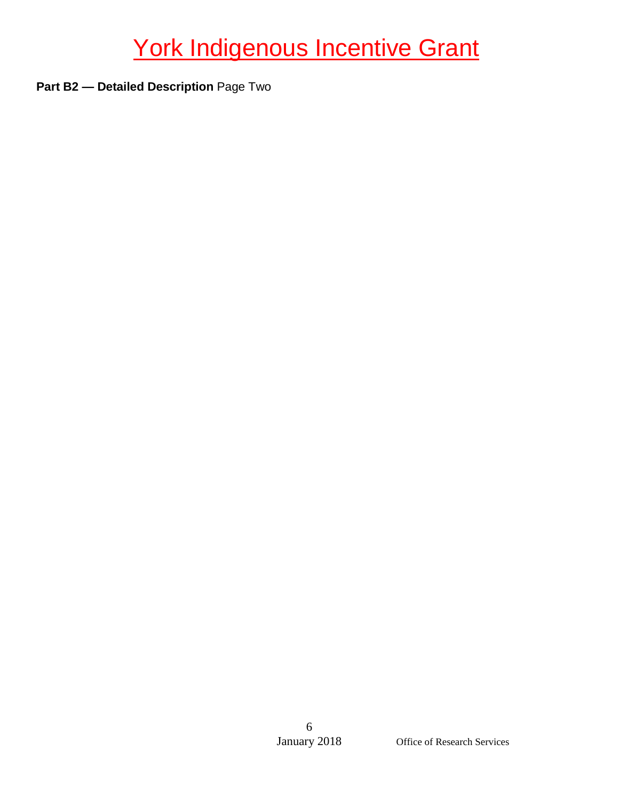**Part B2 — Detailed Description** Page Two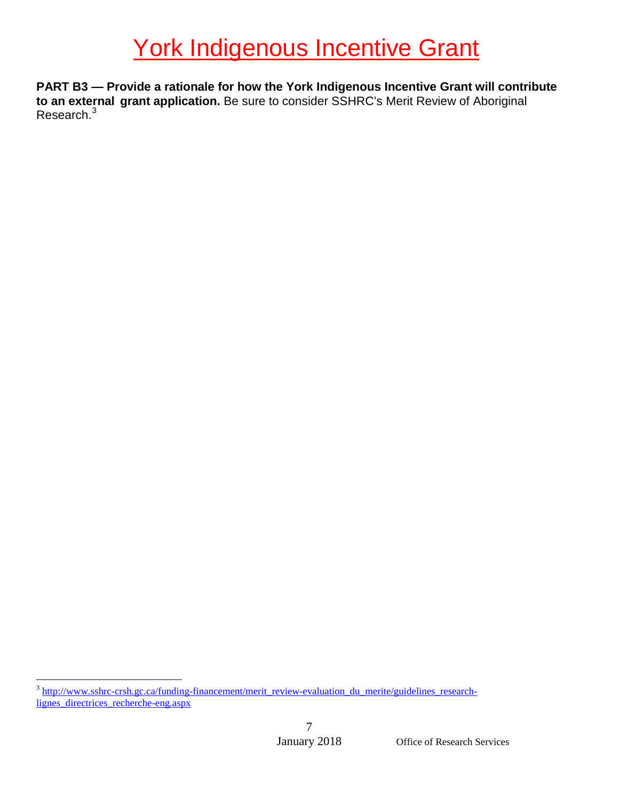**PART B3 — Provide a rationale for how the York Indigenous Incentive Grant will contribute to an external grant application.** Be sure to consider SSHRC's Merit Review of Aboriginal Research.<sup>[3](#page-6-0)</sup>

<span id="page-6-0"></span><sup>&</sup>lt;sup>3</sup> [http://www.sshrc-crsh.gc.ca/funding-financement/merit\\_review-evaluation\\_du\\_merite/guidelines\\_research](http://www.sshrc-crsh.gc.ca/funding-financement/merit_review-evaluation_du_merite/guidelines_research-lignes_directrices_recherche-eng.aspx)[lignes\\_directrices\\_recherche-eng.aspx](http://www.sshrc-crsh.gc.ca/funding-financement/merit_review-evaluation_du_merite/guidelines_research-lignes_directrices_recherche-eng.aspx)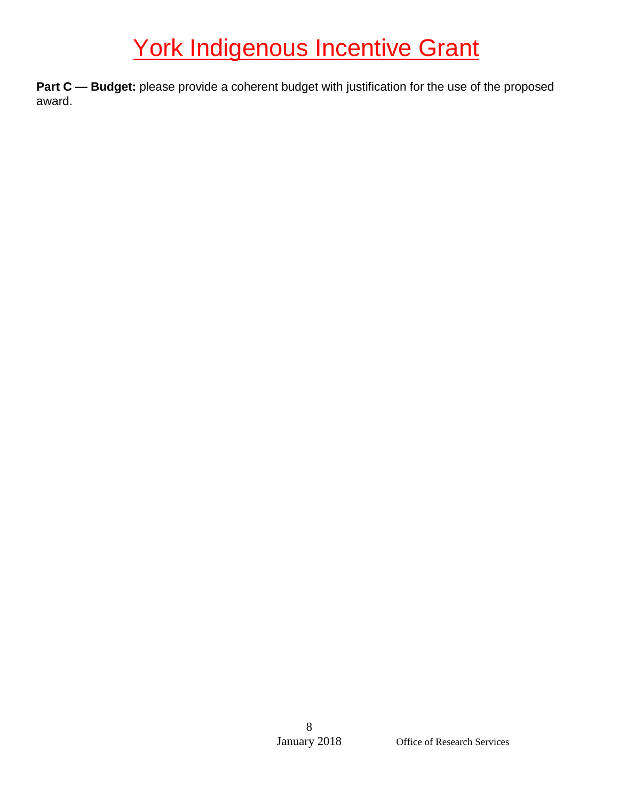**Part C - Budget:** please provide a coherent budget with justification for the use of the proposed award.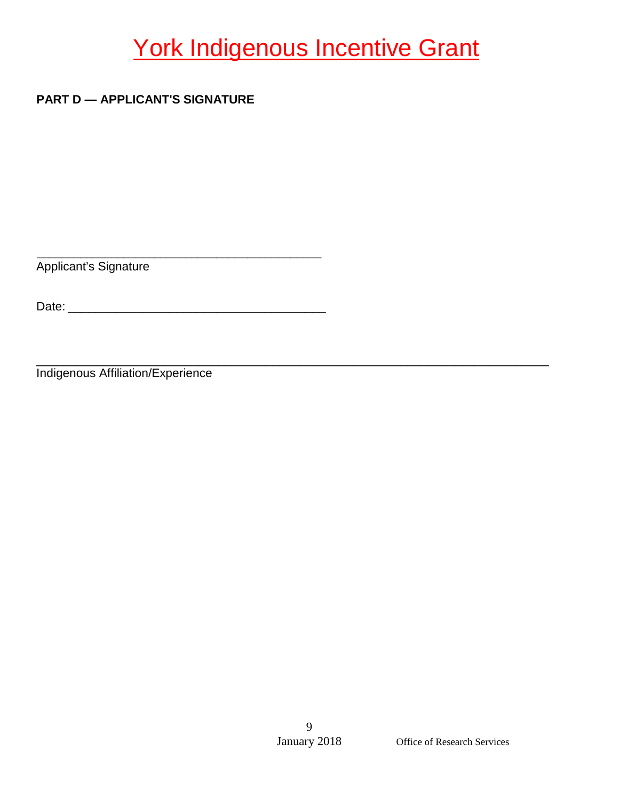### **PART D — APPLICANT'S SIGNATURE**

\_\_\_\_\_\_\_\_\_\_\_\_\_\_\_\_\_\_\_\_\_\_\_\_\_\_\_\_\_\_\_\_\_\_\_\_\_\_\_\_\_\_\_\_\_\_ Applicant's Signature

Date: \_\_\_\_\_\_\_\_\_\_\_\_\_\_\_\_\_\_\_\_\_\_\_\_\_\_\_\_\_\_\_\_\_\_\_\_\_\_

\_\_\_\_\_\_\_\_\_\_\_\_\_\_\_\_\_\_\_\_\_\_\_\_\_\_\_\_\_\_\_\_\_\_\_\_\_\_\_\_\_\_\_\_\_\_\_\_\_\_\_\_\_\_\_\_\_\_\_\_\_\_\_\_\_\_\_\_\_\_\_\_\_\_\_\_ Indigenous Affiliation/Experience